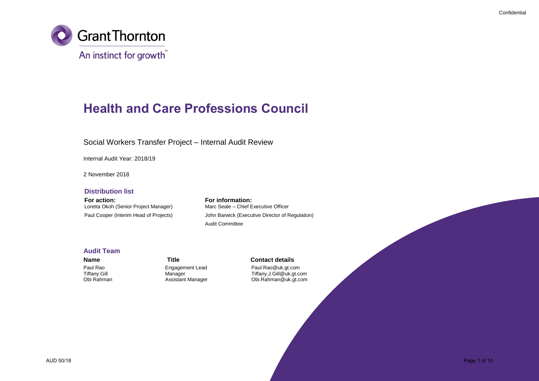

## **Health and Care Professions Council**

### Social Workers Transfer Project – Internal Audit Review

Internal Audit Year: 2018/19

2 November 2018

#### **Distribution list**

**For action:**<br> **For information:**<br> **Loretta Okoh (Senior Project Manager)** Marc Seale – Chief Executive Officer Loretta Okoh (Senior Project Manager)

Paul Cooper (Interim Head of Projects) John Barwick (Executive Director of Regulation) Audit Committee

#### **Audit Team**

### **Name Title Contact details**

Paul Rao **Paul Rao Engagement Lead** Paul Rao & Lead Paul Rao Paul.Rao Paul.Rao Paul.<br> **Paul.** Paul. Ranager Paul. Communication Communication Communication Paul. Communication Paul. Tiffany Gill **Manager** Manager **Tiffany.J.Gill@uk.gt.com**<br>Obi Rahman Manager Assistant Manager and Dil.Rahman@uk.gt.com Obi.Rahman@uk.gt.com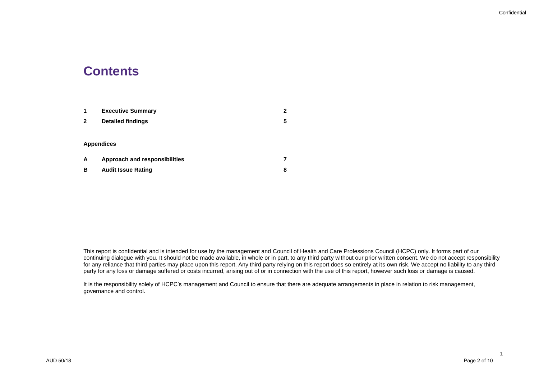### **Contents**

| 1                 | <b>Executive Summary</b>             | 2 |
|-------------------|--------------------------------------|---|
| 2                 | <b>Detailed findings</b>             | 5 |
|                   |                                      |   |
| <b>Appendices</b> |                                      |   |
| A                 | <b>Approach and responsibilities</b> |   |
| в                 | <b>Audit Issue Rating</b>            | 8 |

This report is confidential and is intended for use by the management and Council of Health and Care Professions Council (HCPC) only. It forms part of our continuing dialogue with you. It should not be made available, in whole or in part, to any third party without our prior written consent. We do not accept responsibility for any reliance that third parties may place upon this report. Any third party relying on this report does so entirely at its own risk. We accept no liability to any third party for any loss or damage suffered or costs incurred, arising out of or in connection with the use of this report, however such loss or damage is caused.

It is the responsibility solely of HCPC's management and Council to ensure that there are adequate arrangements in place in relation to risk management, governance and control.

**1**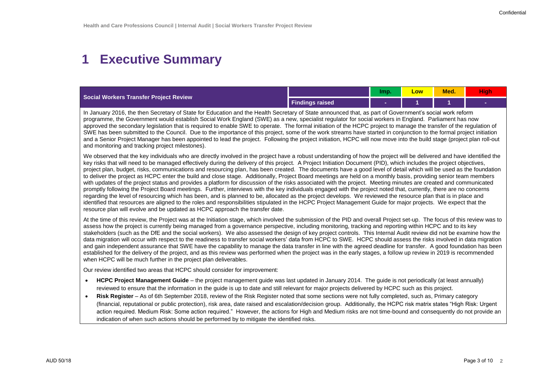# **1 Executive Summary**

| Social Workers Transfer Project Review |                        | Imp. | <b>LOW</b> | <b>Med.</b> | liah |
|----------------------------------------|------------------------|------|------------|-------------|------|
|                                        | <b>Findings raised</b> |      |            |             |      |

In January 2016, the then Secretary of State for Education and the Health Secretary of State announced that, as part of Government's social work reform programme, the Government would establish Social Work England (SWE) as a new, specialist regulator for social workers in England. Parliament has now approved the secondary legislation that is required to enable SWE to operate. The formal initiation of the HCPC project to manage the transfer of the regulation of SWE has been submitted to the Council. Due to the importance of this project, some of the work streams have started in conjunction to the formal project initiation and a Senior Project Manager has been appointed to lead the project. Following the project initiation, HCPC will now move into the build stage (project plan roll-out and monitoring and tracking project milestones).

We observed that the key individuals who are directly involved in the project have a robust understanding of how the project will be delivered and have identified the key risks that will need to be managed effectively during the delivery of this project. A Project Initiation Document (PID), which includes the project objectives, project plan, budget, risks, communications and resourcing plan, has been created. The documents have a good level of detail which will be used as the foundation to deliver the project as HCPC enter the build and close stage. Additionally, Project Board meetings are held on a monthly basis, providing senior team members with updates of the project status and provides a platform for discussion of the risks associated with the project. Meeting minutes are created and communicated promptly following the Project Board meetings. Further, interviews with the key individuals engaged with the project noted that, currently, there are no concerns regarding the level of resourcing which has been, and is planned to be, allocated as the project develops. We reviewed the resource plan that is in place and identified that resources are aligned to the roles and responsibilities stipulated in the HCPC Project Management Guide for major projects. We expect that the resource plan will evolve and be updated as HCPC approach the transfer date.

At the time of this review, the Project was at the Initiation stage, which involved the submission of the PID and overall Project set-up. The focus of this review was to assess how the project is currently being managed from a governance perspective, including monitoring, tracking and reporting within HCPC and to its key stakeholders (such as the DfE and the social workers). We also assessed the design of key project controls. This Internal Audit review did not be examine how the data migration will occur with respect to the readiness to transfer social workers' data from HCPC to SWE. HCPC should assess the risks involved in data migration and gain independent assurance that SWE have the capability to manage the data transfer in line with the agreed deadline for transfer. A good foundation has been established for the delivery of the project, and as this review was performed when the project was in the early stages, a follow up review in 2019 is recommended when HCPC will be much further in the project plan deliverables.

Our review identified two areas that HCPC should consider for improvement:

- **HCPC Project Management Guide** the project management guide was last updated in January 2014. The guide is not periodically (at least annually) reviewed to ensure that the information in the guide is up to date and still relevant for major projects delivered by HCPC such as this project.
- **Risk Register**  As of 6th September 2018, review of the Risk Register noted that some sections were not fully completed, such as, Primary category (financial, reputational or public protection), risk area, date raised and escalation/decision group. Additionally, the HCPC risk matrix states "High Risk: Urgent action required. Medium Risk: Some action required." However, the actions for High and Medium risks are not time-bound and consequently do not provide an indication of when such actions should be performed by to mitigate the identified risks.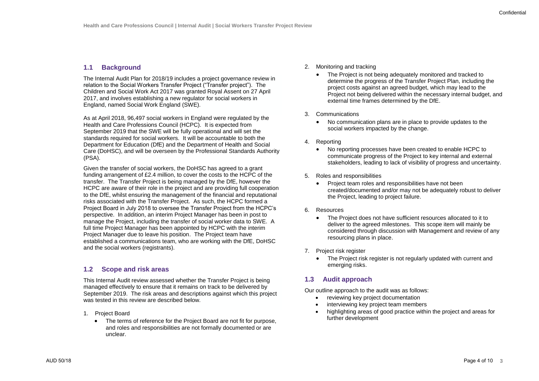#### **1.1 Background**

The Internal Audit Plan for 2018/19 includes a project governance review in relation to the Social Workers Transfer Project ("Transfer project"). The Children and Social Work Act 2017 was granted Royal Assent on 27 April 2017, and involves establishing a new regulator for social workers in England, named Social Work England (SWE).

As at April 2018, 96,497 social workers in England were regulated by the Health and Care Professions Council (HCPC). It is expected from September 2019 that the SWE will be fully operational and will set the standards required for social workers. It will be accountable to both the Department for Education (DfE) and the Department of Health and Social Care (DoHSC), and will be overseen by the Professional Standards Authority (PSA).

Given the transfer of social workers, the DoHSC has agreed to a grant funding arrangement of £2.4 million, to cover the costs to the HCPC of the transfer. The Transfer Project is being managed by the DfE, however the HCPC are aware of their role in the project and are providing full cooperation to the DfE, whilst ensuring the management of the financial and reputational risks associated with the Transfer Project. As such, the HCPC formed a Project Board in July 2018 to oversee the Transfer Project from the HCPC's perspective. In addition, an interim Project Manager has been in post to manage the Project, including the transfer of social worker data to SWE. A full time Project Manager has been appointed by HCPC with the interim Project Manager due to leave his position. The Project team have established a communications team, who are working with the DfE, DoHSC and the social workers (registrants).

#### **1.2 Scope and risk areas**

This Internal Audit review assessed whether the Transfer Project is being managed effectively to ensure that it remains on track to be delivered by September 2019. The risk areas and descriptions against which this project was tested in this review are described below.

- 1. Project Board
	- The terms of reference for the Project Board are not fit for purpose, and roles and responsibilities are not formally documented or are unclear.
- 2. Monitoring and tracking
	- The Project is not being adequately monitored and tracked to determine the progress of the Transfer Project Plan, including the project costs against an agreed budget, which may lead to the Project not being delivered within the necessary internal budget, and external time frames determined by the DfE.
- 3. Communications
	- No communication plans are in place to provide updates to the social workers impacted by the change.
- 4. Reporting
	- No reporting processes have been created to enable HCPC to communicate progress of the Project to key internal and external stakeholders, leading to lack of visibility of progress and uncertainty.
- 5. Roles and responsibilities
	- Project team roles and responsibilities have not been created/documented and/or may not be adequately robust to deliver the Project, leading to project failure.
- 6. Resources
	- The Project does not have sufficient resources allocated to it to deliver to the agreed milestones. This scope item will mainly be considered through discussion with Management and review of any resourcing plans in place.
- 7. Project risk register
	- The Project risk register is not regularly updated with current and emerging risks.

### **1.3 Audit approach**

Our outline approach to the audit was as follows:

- reviewing key project documentation
- interviewing key project team members
- highlighting areas of good practice within the project and areas for further development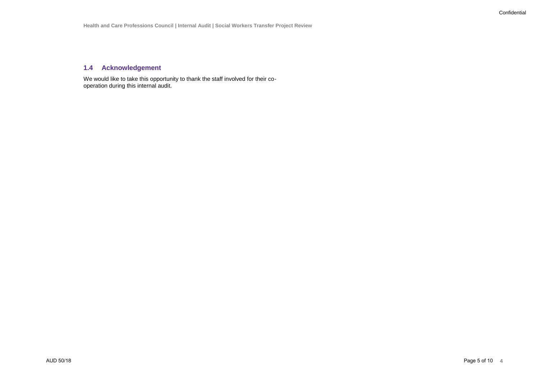### **1.4 Acknowledgement**

We would like to take this opportunity to thank the staff involved for their cooperation during this internal audit.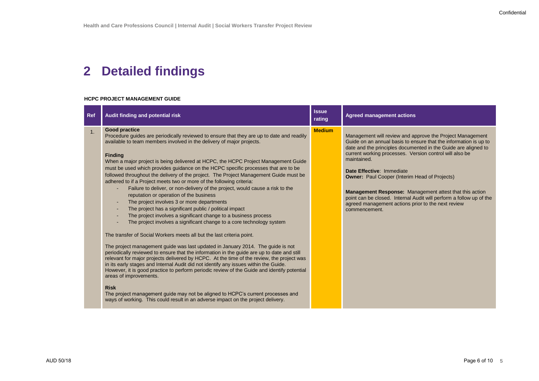# **2 Detailed findings**

#### **HCPC PROJECT MANAGEMENT GUIDE**

| <b>Ref</b> | Audit finding and potential risk                                                                                                                                                                                                                                                                                                                                                                                                                                                                                                                                                                                                                                                                                                                                                                                                                                                                                                                                                                                                                                                                                                                                                                                                                                                                                                                                                                                                                                                                                                                                                                                                                                                                                                                       | <b>Issue</b><br>rating | <b>Agreed management actions</b>                                                                                                                                                                                                                                                                                                                                                                                                                                                                                                                                               |
|------------|--------------------------------------------------------------------------------------------------------------------------------------------------------------------------------------------------------------------------------------------------------------------------------------------------------------------------------------------------------------------------------------------------------------------------------------------------------------------------------------------------------------------------------------------------------------------------------------------------------------------------------------------------------------------------------------------------------------------------------------------------------------------------------------------------------------------------------------------------------------------------------------------------------------------------------------------------------------------------------------------------------------------------------------------------------------------------------------------------------------------------------------------------------------------------------------------------------------------------------------------------------------------------------------------------------------------------------------------------------------------------------------------------------------------------------------------------------------------------------------------------------------------------------------------------------------------------------------------------------------------------------------------------------------------------------------------------------------------------------------------------------|------------------------|--------------------------------------------------------------------------------------------------------------------------------------------------------------------------------------------------------------------------------------------------------------------------------------------------------------------------------------------------------------------------------------------------------------------------------------------------------------------------------------------------------------------------------------------------------------------------------|
| 1.         | <b>Good practice</b><br>Procedure guides are periodically reviewed to ensure that they are up to date and readily<br>available to team members involved in the delivery of major projects.<br><b>Finding</b><br>When a major project is being delivered at HCPC, the HCPC Project Management Guide<br>must be used which provides guidance on the HCPC specific processes that are to be<br>followed throughout the delivery of the project. The Project Management Guide must be<br>adhered to if a Project meets two or more of the following criteria:<br>Failure to deliver, or non-delivery of the project, would cause a risk to the<br>reputation or operation of the business<br>The project involves 3 or more departments<br>$\blacksquare$<br>The project has a significant public / political impact<br>$\sim$<br>The project involves a significant change to a business process<br>$\blacksquare$<br>The project involves a significant change to a core technology system<br>The transfer of Social Workers meets all but the last criteria point.<br>The project management guide was last updated in January 2014. The guide is not<br>periodically reviewed to ensure that the information in the guide are up to date and still<br>relevant for major projects delivered by HCPC. At the time of the review, the project was<br>in its early stages and Internal Audit did not identify any issues within the Guide.<br>However, it is good practice to perform periodic review of the Guide and identify potential<br>areas of improvements.<br><b>Risk</b><br>The project management guide may not be aligned to HCPC's current processes and<br>ways of working. This could result in an adverse impact on the project delivery. | <b>Medium</b>          | Management will review and approve the Project Management<br>Guide on an annual basis to ensure that the information is up to<br>date and the principles documented in the Guide are aligned to<br>current working processes. Version control will also be<br>maintained.<br>Date Effective: Immediate<br><b>Owner:</b> Paul Cooper (Interim Head of Projects)<br><b>Management Response:</b> Management attest that this action<br>point can be closed. Internal Audit will perform a follow up of the<br>agreed management actions prior to the next review<br>commencement. |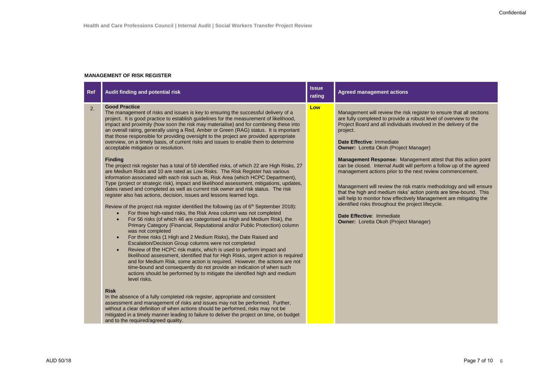#### **MANAGEMENT OF RISK REGISTER**

| <b>Ref</b> | Audit finding and potential risk                                                                                                                                                                                                                                                                                                                                                                                                                                                                                                                                                                                                                                                                                                                                                                                                                                                                                                                                                                                                                                                                                                                                                                                                                                                                                                                                                                                                                                                                                                                                                                                                                                                                                                                                                                                                                                                                                                                                                                                                                                                                                                                                                                                                                                                                                                                                                                                                                                                                                                | <b>Issue</b><br>rating | <b>Agreed management actions</b>                                                                                                                                                                                                                                                                                                                                                                                                                                                                                                                                                                                                                                                                                                                                                                                                                                  |
|------------|---------------------------------------------------------------------------------------------------------------------------------------------------------------------------------------------------------------------------------------------------------------------------------------------------------------------------------------------------------------------------------------------------------------------------------------------------------------------------------------------------------------------------------------------------------------------------------------------------------------------------------------------------------------------------------------------------------------------------------------------------------------------------------------------------------------------------------------------------------------------------------------------------------------------------------------------------------------------------------------------------------------------------------------------------------------------------------------------------------------------------------------------------------------------------------------------------------------------------------------------------------------------------------------------------------------------------------------------------------------------------------------------------------------------------------------------------------------------------------------------------------------------------------------------------------------------------------------------------------------------------------------------------------------------------------------------------------------------------------------------------------------------------------------------------------------------------------------------------------------------------------------------------------------------------------------------------------------------------------------------------------------------------------------------------------------------------------------------------------------------------------------------------------------------------------------------------------------------------------------------------------------------------------------------------------------------------------------------------------------------------------------------------------------------------------------------------------------------------------------------------------------------------------|------------------------|-------------------------------------------------------------------------------------------------------------------------------------------------------------------------------------------------------------------------------------------------------------------------------------------------------------------------------------------------------------------------------------------------------------------------------------------------------------------------------------------------------------------------------------------------------------------------------------------------------------------------------------------------------------------------------------------------------------------------------------------------------------------------------------------------------------------------------------------------------------------|
| 2.         | <b>Good Practice</b><br>The management of risks and issues is key to ensuring the successful delivery of a<br>project. It is good practice to establish guidelines for the measurement of likelihood,<br>impact and proximity (how soon the risk may materialise) and for combining these into<br>an overall rating, generally using a Red, Amber or Green (RAG) status. It is important<br>that those responsible for providing oversight to the project are provided appropriate<br>overview, on a timely basis, of current risks and issues to enable them to determine<br>acceptable mitigation or resolution.<br><b>Finding</b><br>The project risk register has a total of 59 identified risks, of which 22 are High Risks, 27<br>are Medium Risks and 10 are rated as Low Risks. The Risk Register has various<br>information associated with each risk such as, Risk Area (which HCPC Department),<br>Type (project or strategic risk), impact and likelihood assessment, mitigations, updates,<br>dates raised and completed as well as current risk owner and risk status. The risk<br>register also has actions, decision, issues and lessons learned logs.<br>Review of the project risk register identified the following (as of $6th$ September 2018):<br>For three high-rated risks, the Risk Area column was not completed<br>$\bullet$<br>For 56 risks (of which 46 are categorised as High and Medium Risk), the<br>$\bullet$<br>Primary Category (Financial, Reputational and/or Public Protection) column<br>was not completed<br>For three risks (1 High and 2 Medium Risks), the Date Raised and<br>$\bullet$<br>Escalation/Decision Group columns were not completed<br>Review of the HCPC risk matrix, which is used to perform impact and<br>$\bullet$<br>likelihood assessment, identified that for High Risks, urgent action is required<br>and for Medium Risk, some action is required. However, the actions are not<br>time-bound and consequently do not provide an indication of when such<br>actions should be performed by to mitigate the identified high and medium<br>level risks.<br><b>Risk</b><br>In the absence of a fully completed risk register, appropriate and consistent<br>assessment and management of risks and issues may not be performed. Further,<br>without a clear definition of when actions should be performed, risks may not be<br>mitigated in a timely manner leading to failure to deliver the project on time, on budget<br>and to the required/agreed quality. | Low                    | Management will review the risk register to ensure that all sections<br>are fully completed to provide a robust level of overview to the<br>Project Board and all individuals involved in the delivery of the<br>project.<br>Date Effective: Immediate<br><b>Owner: Loretta Okoh (Project Manager)</b><br>Management Response: Management attest that this action point<br>can be closed. Internal Audit will perform a follow up of the agreed<br>management actions prior to the next review commencement.<br>Management will review the risk matrix methodology and will ensure<br>that the high and medium risks' action points are time-bound. This<br>will help to monitor how effectively Management are mitigating the<br>identified risks throughout the project lifecycle.<br>Date Effective: Immediate<br><b>Owner: Loretta Okoh (Project Manager)</b> |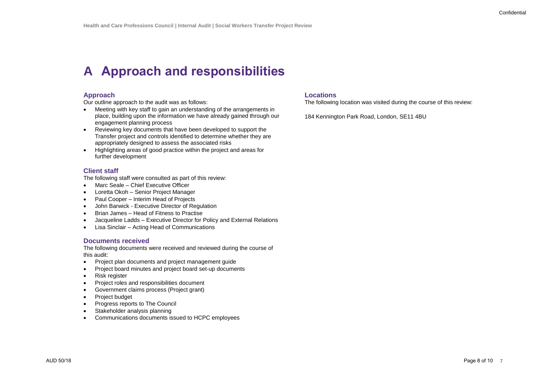# **A Approach and responsibilities**

#### **Approach**

Our outline approach to the audit was as follows:

- Meeting with key staff to gain an understanding of the arrangements in place, building upon the information we have already gained through our engagement planning process
- Reviewing key documents that have been developed to support the Transfer project and controls identified to determine whether they are appropriately designed to assess the associated risks
- Highlighting areas of good practice within the project and areas for further development

### **Client staff**

The following staff were consulted as part of this review:

- Marc Seale Chief Executive Officer
- Loretta Okoh Senior Project Manager
- Paul Cooper Interim Head of Projects
- John Barwick Executive Director of Regulation
- Brian James Head of Fitness to Practise
- Jacqueline Ladds Executive Director for Policy and External Relations
- Lisa Sinclair Acting Head of Communications

#### **Documents received**

The following documents were received and reviewed during the course of this audit:

- Project plan documents and project management quide
- Project board minutes and project board set-up documents
- Risk register
- Project roles and responsibilities document
- Government claims process (Project grant)
- Project budget
- Progress reports to The Council
- Stakeholder analysis planning
- Communications documents issued to HCPC employees

#### **Locations**

The following location was visited during the course of this review:

184 Kennington Park Road, London, SE11 4BU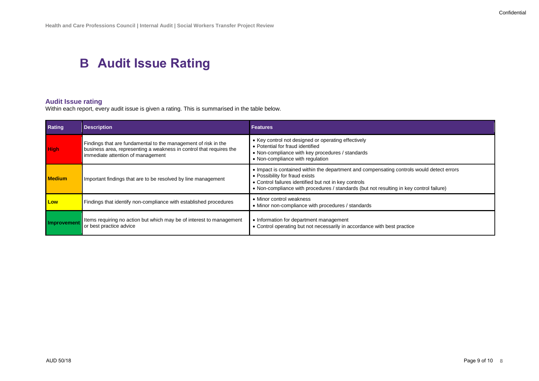## **B Audit Issue Rating**

### **Audit Issue rating**

Within each report, every audit issue is given a rating. This is summarised in the table below.

| Rating        | <b>Description</b>                                                                                                                                                         | <b>Features</b>                                                                                                                                                                                                                                                                 |
|---------------|----------------------------------------------------------------------------------------------------------------------------------------------------------------------------|---------------------------------------------------------------------------------------------------------------------------------------------------------------------------------------------------------------------------------------------------------------------------------|
| <b>High</b>   | Findings that are fundamental to the management of risk in the<br>business area, representing a weakness in control that requires the<br>immediate attention of management | • Key control not designed or operating effectively<br>• Potential for fraud identified<br>• Non-compliance with key procedures / standards<br>• Non-compliance with regulation                                                                                                 |
| <b>Medium</b> | Important findings that are to be resolved by line management                                                                                                              | • Impact is contained within the department and compensating controls would detect errors<br>• Possibility for fraud exists<br>• Control failures identified but not in key controls<br>. Non-compliance with procedures / standards (but not resulting in key control failure) |
| Low           | Findings that identify non-compliance with established procedures                                                                                                          | • Minor control weakness<br>• Minor non-compliance with procedures / standards                                                                                                                                                                                                  |
| Improvement   | Items requiring no action but which may be of interest to management<br>or best practice advice                                                                            | • Information for department management<br>• Control operating but not necessarily in accordance with best practice                                                                                                                                                             |